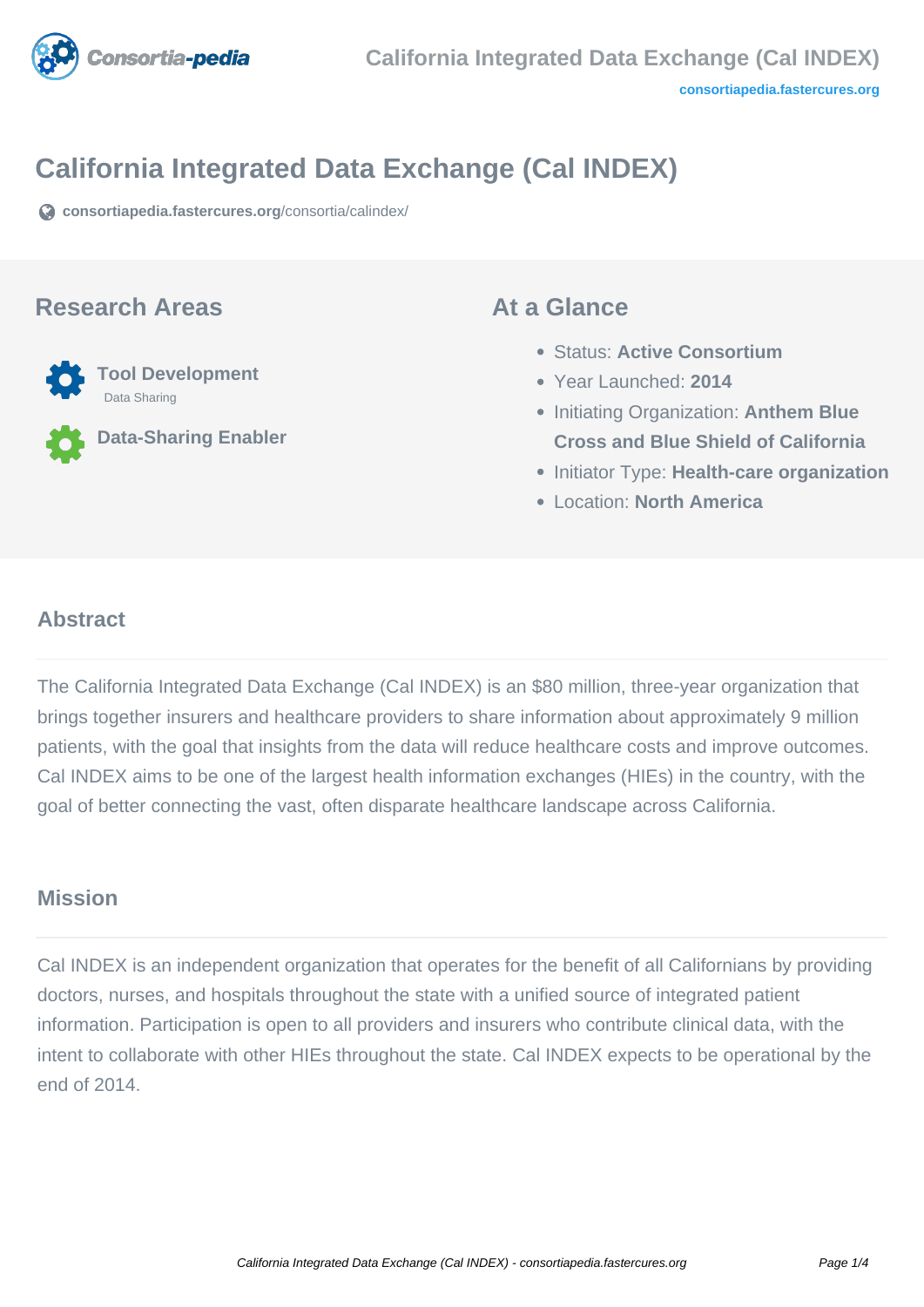

# **California Integrated Data Exchange (Cal INDEX)**

**[consortiapedia.fastercures.org](https://consortiapedia.fastercures.org/consortia/calindex/)**[/consortia/calindex/](https://consortiapedia.fastercures.org/consortia/calindex/)

#### **Research Areas**



**Data-Sharing Enabler**

#### **At a Glance**

- Status: **Active Consortium**
- Year Launched: **2014**
- **Initiating Organization: Anthem Blue Cross and Blue Shield of California**
- **Initiator Type: Health-care organization**
- Location: **North America**

#### $\overline{a}$ **Abstract**

The California Integrated Data Exchange (Cal INDEX) is an \$80 million, three-year organization that brings together insurers and healthcare providers to share information about approximately 9 million patients, with the goal that insights from the data will reduce healthcare costs and improve outcomes. Cal INDEX aims to be one of the largest health information exchanges (HIEs) in the country, with the goal of better connecting the vast, often disparate healthcare landscape across California.

#### **Mission**

Cal INDEX is an independent organization that operates for the benefit of all Californians by providing doctors, nurses, and hospitals throughout the state with a unified source of integrated patient information. Participation is open to all providers and insurers who contribute clinical data, with the intent to collaborate with other HIEs throughout the state. Cal INDEX expects to be operational by the end of 2014.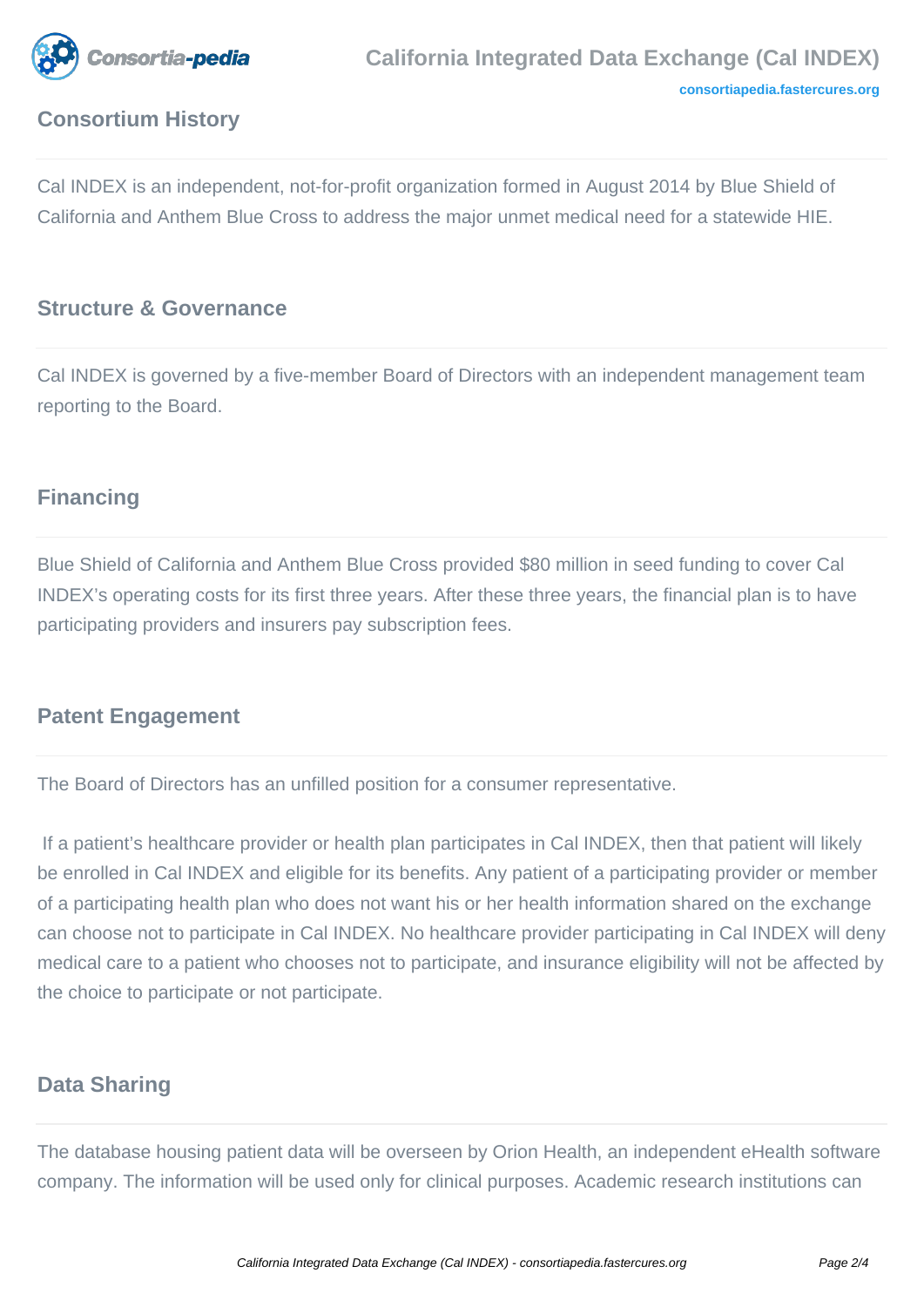

# **Consortium History**

Cal INDEX is an independent, not-for-profit organization formed in August 2014 by Blue Shield of California and Anthem Blue Cross to address the major unmet medical need for a statewide HIE.

### **Structure & Governance**

Cal INDEX is governed by a five-member Board of Directors with an independent management team reporting to the Board.

#### **Financing**

Blue Shield of California and Anthem Blue Cross provided \$80 million in seed funding to cover Cal INDEX's operating costs for its first three years. After these three years, the financial plan is to have participating providers and insurers pay subscription fees.

#### **Patent Engagement**

The Board of Directors has an unfilled position for a consumer representative.

 If a patient's healthcare provider or health plan participates in Cal INDEX, then that patient will likely be enrolled in Cal INDEX and eligible for its benefits. Any patient of a participating provider or member of a participating health plan who does not want his or her health information shared on the exchange can choose not to participate in Cal INDEX. No healthcare provider participating in Cal INDEX will deny medical care to a patient who chooses not to participate, and insurance eligibility will not be affected by the choice to participate or not participate.

#### **Data Sharing**

The database housing patient data will be overseen by Orion Health, an independent eHealth software company. The information will be used only for clinical purposes. Academic research institutions can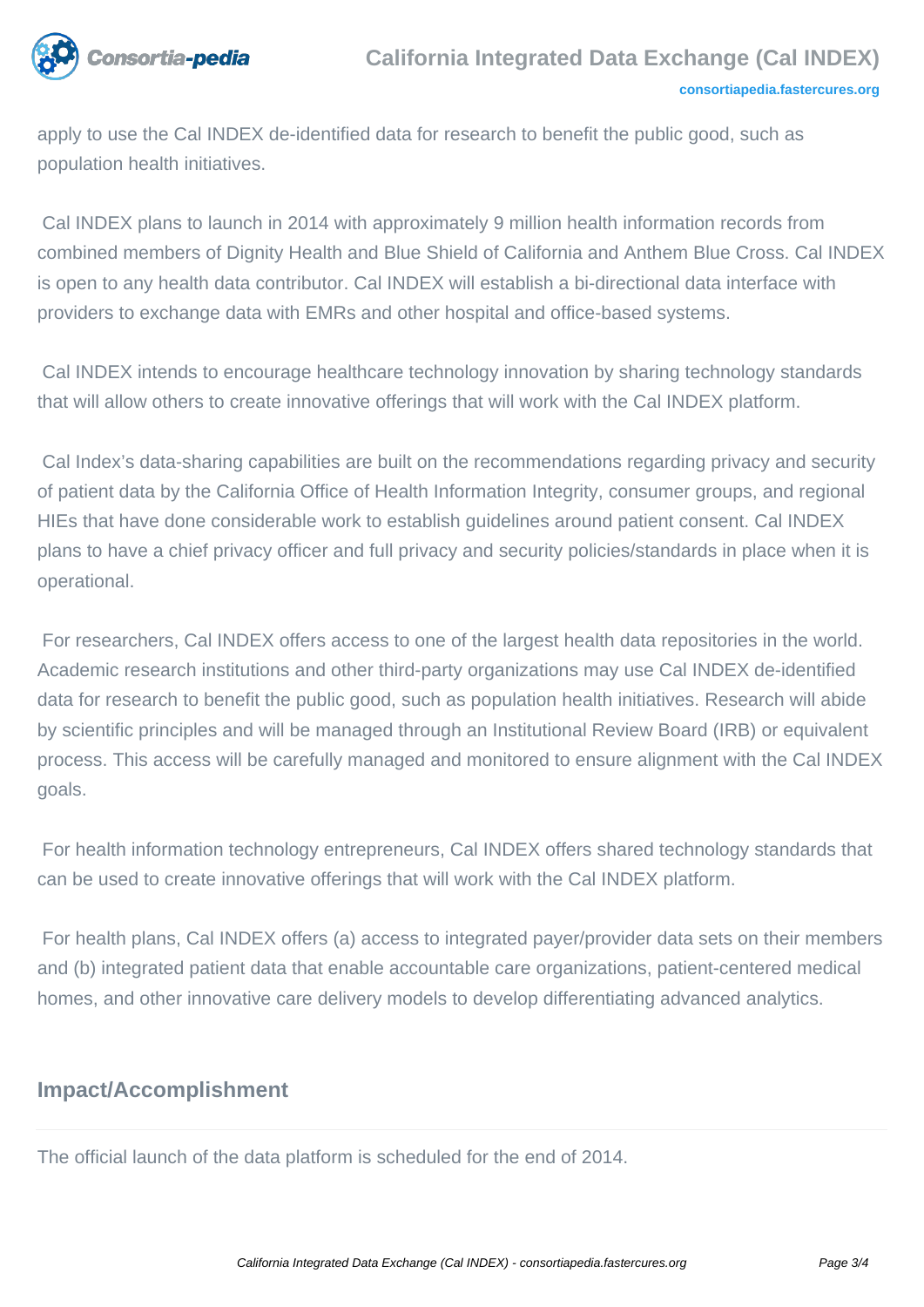

apply to use the Cal INDEX de-identified data for research to benefit the public good, such as population health initiatives.

 Cal INDEX plans to launch in 2014 with approximately 9 million health information records from combined members of Dignity Health and Blue Shield of California and Anthem Blue Cross. Cal INDEX is open to any health data contributor. Cal INDEX will establish a bi-directional data interface with providers to exchange data with EMRs and other hospital and office-based systems.

 Cal INDEX intends to encourage healthcare technology innovation by sharing technology standards that will allow others to create innovative offerings that will work with the Cal INDEX platform.

 Cal Index's data-sharing capabilities are built on the recommendations regarding privacy and security of patient data by the California Office of Health Information Integrity, consumer groups, and regional HIEs that have done considerable work to establish guidelines around patient consent. Cal INDEX plans to have a chief privacy officer and full privacy and security policies/standards in place when it is operational.

 For researchers, Cal INDEX offers access to one of the largest health data repositories in the world. Academic research institutions and other third-party organizations may use Cal INDEX de-identified data for research to benefit the public good, such as population health initiatives. Research will abide by scientific principles and will be managed through an Institutional Review Board (IRB) or equivalent process. This access will be carefully managed and monitored to ensure alignment with the Cal INDEX goals.

 For health information technology entrepreneurs, Cal INDEX offers shared technology standards that can be used to create innovative offerings that will work with the Cal INDEX platform.

 For health plans, Cal INDEX offers (a) access to integrated payer/provider data sets on their members and (b) integrated patient data that enable accountable care organizations, patient-centered medical homes, and other innovative care delivery models to develop differentiating advanced analytics.

## **Impact/Accomplishment**

The official launch of the data platform is scheduled for the end of 2014.